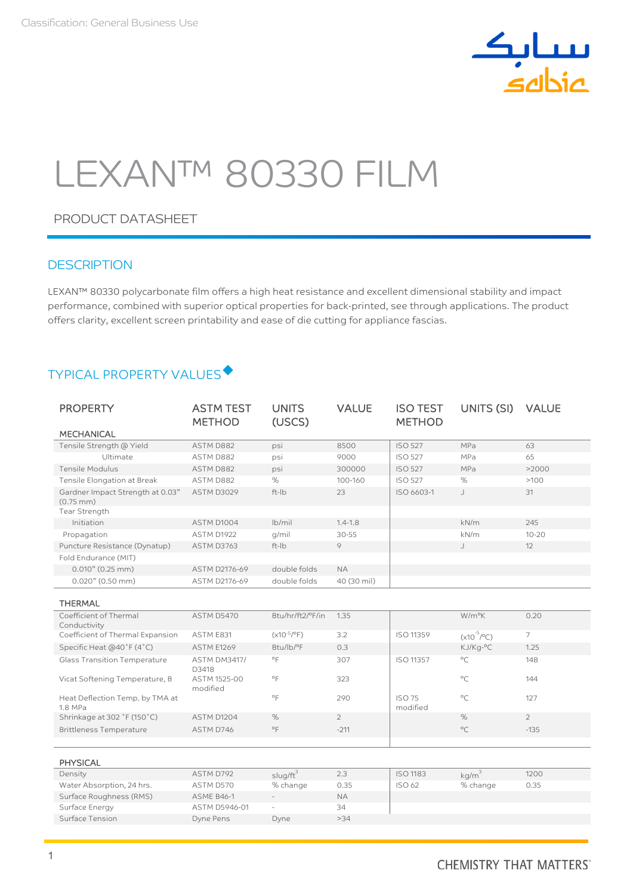

# LEXAN™ 80330 FILM

## PRODUCT DATASHEET

### **DESCRIPTION**

LEXAN™ 80330 polycarbonate film offers a high heat resistance and excellent dimensional stability and impact performance, combined with superior optical properties for back-printed, see through applications. The product offers clarity, excellent screen printability and ease of die cutting for appliance fascias.

# TYPICAL PROPERTY VALUES

| <b>PROPERTY</b>                                                            | <b>ASTM TEST</b><br><b>METHOD</b> | <b>UNITS</b><br>(USCS) | <b>VALUE</b>   | <b>ISO TEST</b><br><b>METHOD</b> | UNITS (SI)             | <b>VALUE</b>   |
|----------------------------------------------------------------------------|-----------------------------------|------------------------|----------------|----------------------------------|------------------------|----------------|
| <b>MECHANICAL</b>                                                          |                                   |                        |                |                                  |                        |                |
| Tensile Strength @ Yield                                                   | ASTM D882                         | psi                    | 8500           | <b>ISO 527</b>                   | MPa                    | 63             |
| Ultimate                                                                   | ASTM D882                         | psi                    | 9000           | <b>ISO 527</b>                   | MPa                    | 65             |
| Tensile Modulus                                                            | ASTM D882                         | psi                    | 300000         | <b>ISO 527</b>                   | MPa                    | >2000          |
| Tensile Elongation at Break                                                | ASTM D882                         | $\%$                   | 100-160        | <b>ISO 527</b>                   | %                      | >100           |
| Gardner Impact Strength at 0.03"<br>$(0.75 \, \text{mm})$<br>Tear Strength | <b>ASTM D3029</b>                 | ft-Ib                  | 23             | ISO 6603-1                       | J                      | 31             |
| Initiation                                                                 | ASTM D1004                        | $lb$ mil               | $1.4 - 1.8$    |                                  | kN/m                   | 245            |
| Propagation                                                                | ASTM D1922                        | q/mil                  | $30 - 55$      |                                  | kN/m                   | $10 - 20$      |
| Puncture Resistance (Dynatup)                                              | ASTM D3763                        | ft-Ib                  | 9              |                                  | J                      | 12             |
| Fold Endurance (MIT)                                                       |                                   |                        |                |                                  |                        |                |
| 0.010" (0.25 mm)                                                           | ASTM D2176-69                     | double folds           | <b>NA</b>      |                                  |                        |                |
| 0.020" (0.50 mm)                                                           | ASTM D2176-69                     | double folds           | 40 (30 mil)    |                                  |                        |                |
| <b>THERMAL</b>                                                             |                                   |                        |                |                                  |                        |                |
| Coefficient of Thermal<br>Conductivity                                     | ASTM D5470                        | Btu/hr/ft2/°F/in       | 1.35           |                                  | W/m <sup>o</sup> K     | 0.20           |
| Coefficient of Thermal Expansion                                           | ASTM E831                         | $(x10^{-5}/^{\circ}F)$ | 3.2            | ISO 11359                        | $(x10^{-5}/^{\circ}C)$ | $\overline{7}$ |
| Specific Heat (@40°F (4°C)                                                 | <b>ASTM E1269</b>                 | Btu/lb/°F              | 0.3            |                                  | KJ/Kg-°C               | 1.25           |
| <b>Glass Transition Temperature</b>                                        | <b>ASTM DM3417/</b><br>D3418      | $^{\circ}$ F           | 307            | ISO 11357                        | $^{\circ}C$            | 148            |
| Vicat Softening Temperature, B                                             | ASTM 1525-00<br>modified          | $^{\circ}$ F           | 323            |                                  | $^{\circ}C$            | 144            |
| Heat Deflection Temp. by TMA at<br>1.8 MPa                                 |                                   | $^{\circ}$ F           | 290            | <b>ISO 75</b><br>modified        | $^{\circ}C$            | 127            |
| Shrinkage at 302 °F (150 °C)                                               | ASTM D1204                        | %                      | $\overline{2}$ |                                  | %                      | $\overline{2}$ |
| <b>Brittleness Temperature</b>                                             | ASTM D746                         | $\circ$ F              | $-211$         |                                  | $\circ$ C              | $-135$         |
|                                                                            |                                   |                        |                |                                  |                        |                |
| <b>PHYSICAL</b>                                                            |                                   |                        |                |                                  |                        |                |
| Density                                                                    | ASTM D792                         | $\frac{1}{2}$          | 2.3            | <b>ISO 1183</b>                  | $km/m^3$               | 1200           |

| Density                   | ASTM D792         | slug/ft                  | 2.3       | <b>ISO 1183</b> | ka/m     | 1200 |
|---------------------------|-------------------|--------------------------|-----------|-----------------|----------|------|
| Water Absorption, 24 hrs. | ASTM D570         | % change                 | 0.35      | <b>ISO 62</b>   | % change | 0.35 |
| Surface Roughness (RMS)   | <b>ASME B46-1</b> | $\equiv$                 | <b>NA</b> |                 |          |      |
| Surface Energy            | ASTM D5946-01     | $\overline{\phantom{a}}$ | 34        |                 |          |      |
| Surface Tension           | Dyne Pens         | Dyne                     | >34       |                 |          |      |